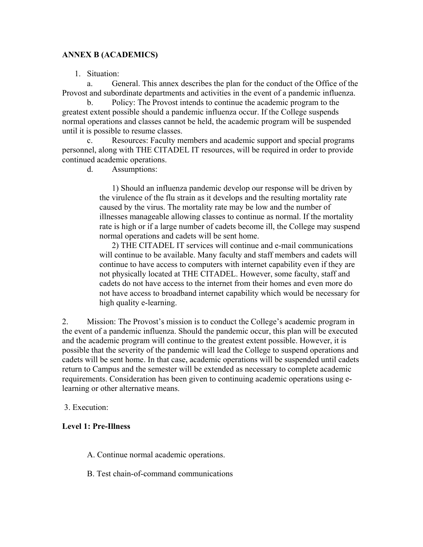## **ANNEX B (ACADEMICS)**

1. Situation:

a. General. This annex describes the plan for the conduct of the Office of the Provost and subordinate departments and activities in the event of a pandemic influenza.

b. Policy: The Provost intends to continue the academic program to the greatest extent possible should a pandemic influenza occur. If the College suspends normal operations and classes cannot be held, the academic program will be suspended until it is possible to resume classes.

c. Resources: Faculty members and academic support and special programs personnel, along with THE CITADEL IT resources, will be required in order to provide continued academic operations.

d. Assumptions:

1) Should an influenza pandemic develop our response will be driven by the virulence of the flu strain as it develops and the resulting mortality rate caused by the virus. The mortality rate may be low and the number of illnesses manageable allowing classes to continue as normal. If the mortality rate is high or if a large number of cadets become ill, the College may suspend normal operations and cadets will be sent home.

2) THE CITADEL IT services will continue and e-mail communications will continue to be available. Many faculty and staff members and cadets will continue to have access to computers with internet capability even if they are not physically located at THE CITADEL. However, some faculty, staff and cadets do not have access to the internet from their homes and even more do not have access to broadband internet capability which would be necessary for high quality e-learning.

2. Mission: The Provost's mission is to conduct the College's academic program in the event of a pandemic influenza. Should the pandemic occur, this plan will be executed and the academic program will continue to the greatest extent possible. However, it is possible that the severity of the pandemic will lead the College to suspend operations and cadets will be sent home. In that case, academic operations will be suspended until cadets return to Campus and the semester will be extended as necessary to complete academic requirements. Consideration has been given to continuing academic operations using elearning or other alternative means.

3. Execution:

#### **Level 1: Pre-Illness**

- A. Continue normal academic operations.
- B. Test chain-of-command communications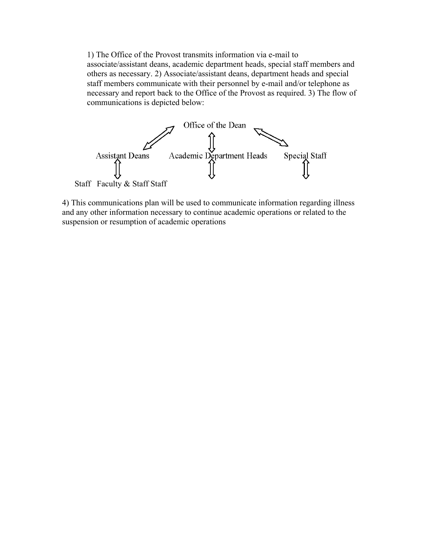1) The Office of the Provost transmits information via e-mail to associate/assistant deans, academic department heads, special staff members and others as necessary. 2) Associate/assistant deans, department heads and special staff members communicate with their personnel by e-mail and/or telephone as necessary and report back to the Office of the Provost as required. 3) The flow of communications is depicted below:



4) This communications plan will be used to communicate information regarding illness and any other information necessary to continue academic operations or related to the suspension or resumption of academic operations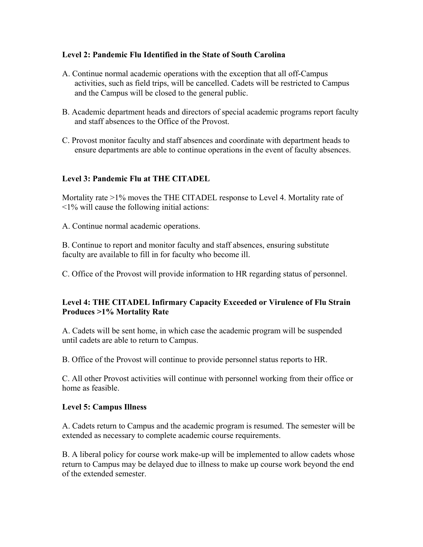## **Level 2: Pandemic Flu Identified in the State of South Carolina**

- A. Continue normal academic operations with the exception that all off-Campus activities, such as field trips, will be cancelled. Cadets will be restricted to Campus and the Campus will be closed to the general public.
- B. Academic department heads and directors of special academic programs report faculty and staff absences to the Office of the Provost.
- C. Provost monitor faculty and staff absences and coordinate with department heads to ensure departments are able to continue operations in the event of faculty absences.

# **Level 3: Pandemic Flu at THE CITADEL**

Mortality rate >1% moves the THE CITADEL response to Level 4. Mortality rate of <1% will cause the following initial actions:

A. Continue normal academic operations.

B. Continue to report and monitor faculty and staff absences, ensuring substitute faculty are available to fill in for faculty who become ill.

C. Office of the Provost will provide information to HR regarding status of personnel.

### **Level 4: THE CITADEL Infirmary Capacity Exceeded or Virulence of Flu Strain Produces >1% Mortality Rate**

A. Cadets will be sent home, in which case the academic program will be suspended until cadets are able to return to Campus.

B. Office of the Provost will continue to provide personnel status reports to HR.

C. All other Provost activities will continue with personnel working from their office or home as feasible.

#### **Level 5: Campus Illness**

A. Cadets return to Campus and the academic program is resumed. The semester will be extended as necessary to complete academic course requirements.

B. A liberal policy for course work make-up will be implemented to allow cadets whose return to Campus may be delayed due to illness to make up course work beyond the end of the extended semester.